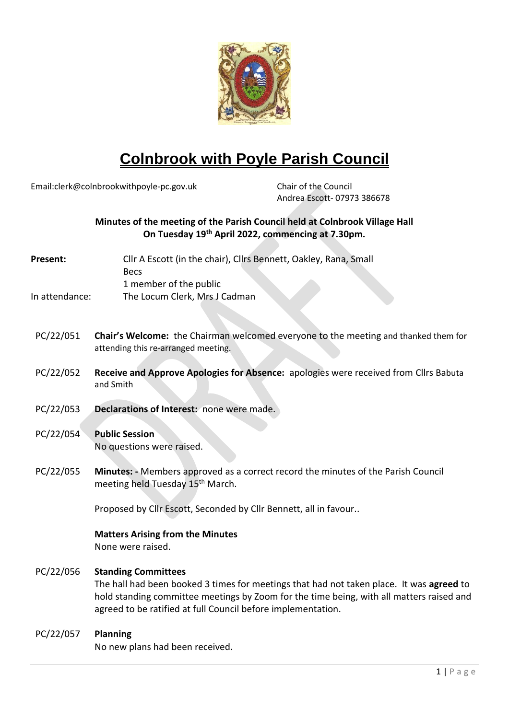

# **Colnbrook with Poyle Parish Council**

Email[:clerk@colnbrookwithpoyle-pc.gov.uk](mailto:clerk@colnbrookwithpoyle-pc.gov.uk) Chair of the Council

Andrea Escott- 07973 386678

# **Minutes of the meeting of the Parish Council held at Colnbrook Village Hall On Tuesday 19th April 2022, commencing at 7.30pm.**

| Present:       | Cllr A Escott (in the chair), Cllrs Bennett, Oakley, Rana, Small |
|----------------|------------------------------------------------------------------|
|                | <b>Becs</b>                                                      |
|                | 1 member of the public                                           |
| In attendance: | The Locum Clerk, Mrs J Cadman                                    |

- PC/22/051 **Chair's Welcome:** the Chairman welcomed everyone to the meeting and thanked them for attending this re-arranged meeting.
- PC/22/052 **Receive and Approve Apologies for Absence:** apologies were received from Cllrs Babuta and Smith
- PC/22/053 **Declarations of Interest:** none were made.
- PC/22/054 **Public Session** No questions were raised.
- PC/22/055 **Minutes: -** Members approved as a correct record the minutes of the Parish Council meeting held Tuesday 15<sup>th</sup> March.

Proposed by Cllr Escott, Seconded by Cllr Bennett, all in favour..

# **Matters Arising from the Minutes**

None were raised.

### PC/22/056 **Standing Committees**

The hall had been booked 3 times for meetings that had not taken place. It was **agreed** to hold standing committee meetings by Zoom for the time being, with all matters raised and agreed to be ratified at full Council before implementation.

### PC/22/057 **Planning**

No new plans had been received.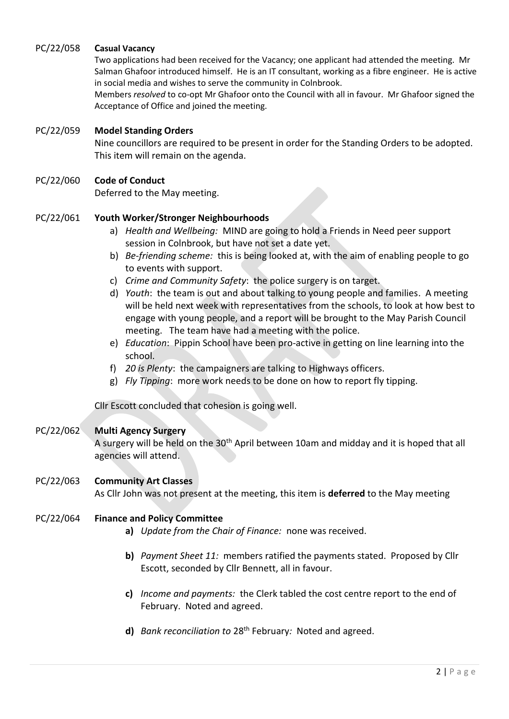# PC/22/058 **Casual Vacancy**

Two applications had been received for the Vacancy; one applicant had attended the meeting. Mr Salman Ghafoor introduced himself. He is an IT consultant, working as a fibre engineer. He is active in social media and wishes to serve the community in Colnbrook.

Members *resolved* to co-opt Mr Ghafoor onto the Council with all in favour. Mr Ghafoor signed the Acceptance of Office and joined the meeting.

# PC/22/059 **Model Standing Orders**

Nine councillors are required to be present in order for the Standing Orders to be adopted. This item will remain on the agenda.

# PC/22/060 **Code of Conduct**

Deferred to the May meeting.

# PC/22/061 **Youth Worker/Stronger Neighbourhoods**

- a) *Health and Wellbeing:* MIND are going to hold a Friends in Need peer support session in Colnbrook, but have not set a date yet.
- b) *Be*-*friending scheme:* this is being looked at, with the aim of enabling people to go to events with support.
- c) *Crime and Community Safety*: the police surgery is on target.
- d) *Youth*: the team is out and about talking to young people and families. A meeting will be held next week with representatives from the schools, to look at how best to engage with young people, and a report will be brought to the May Parish Council meeting. The team have had a meeting with the police.
- e) *Education*: Pippin School have been pro-active in getting on line learning into the school.
- f) *20 is Plenty*: the campaigners are talking to Highways officers.
- g) *Fly Tipping*: more work needs to be done on how to report fly tipping.

Cllr Escott concluded that cohesion is going well.

### PC/22/062 **Multi Agency Surgery**

A surgery will be held on the 30<sup>th</sup> April between 10am and midday and it is hoped that all agencies will attend.

# PC/22/063 **Community Art Classes** As Cllr John was not present at the meeting, this item is **deferred** to the May meeting

### PC/22/064 **Finance and Policy Committee**

- **a)** *Update from the Chair of Finance:* none was received.
- **b)** *Payment Sheet 11:* members ratified the payments stated. Proposed by Cllr Escott, seconded by Cllr Bennett, all in favour.
- **c)** *Income and payments:*the Clerk tabled the cost centre report to the end of February. Noted and agreed.
- **d)** *Bank reconciliation to* 28th February*:*Noted and agreed.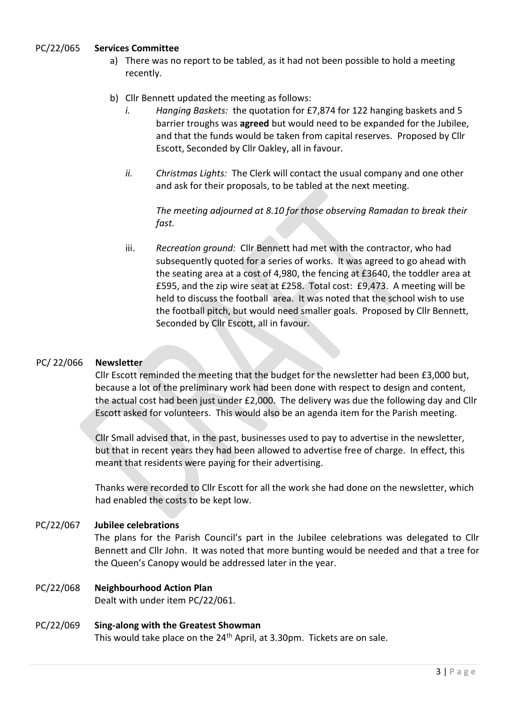# PC/22/065 **Services Committee**

- a) There was no report to be tabled, as it had not been possible to hold a meeting recently.
- b) Cllr Bennett updated the meeting as follows:
	- *i. Hanging Baskets:* the quotation for £7,874 for 122 hanging baskets and 5 barrier troughs was **agreed** but would need to be expanded for the Jubilee, and that the funds would be taken from capital reserves. Proposed by Cllr Escott, Seconded by Cllr Oakley, all in favour.
	- *ii. Christmas Lights:* The Clerk will contact the usual company and one other and ask for their proposals, to be tabled at the next meeting.

*The meeting adjourned at 8.10 for those observing Ramadan to break their fast.*

iii. *Recreation ground:* Cllr Bennett had met with the contractor, who had subsequently quoted for a series of works. It was agreed to go ahead with the seating area at a cost of 4,980, the fencing at £3640, the toddler area at £595, and the zip wire seat at £258. Total cost: £9,473. A meeting will be held to discuss the football area. It was noted that the school wish to use the football pitch, but would need smaller goals. Proposed by Cllr Bennett, Seconded by Cllr Escott, all in favour.

# PC/ 22/066 **Newsletter**

Cllr Escott reminded the meeting that the budget for the newsletter had been £3,000 but, because a lot of the preliminary work had been done with respect to design and content, the actual cost had been just under £2,000. The delivery was due the following day and Cllr Escott asked for volunteers. This would also be an agenda item for the Parish meeting.

Cllr Small advised that, in the past, businesses used to pay to advertise in the newsletter, but that in recent years they had been allowed to advertise free of charge. In effect, this meant that residents were paying for their advertising.

Thanks were recorded to Cllr Escott for all the work she had done on the newsletter, which had enabled the costs to be kept low.

### PC/22/067 **Jubilee celebrations**

The plans for the Parish Council's part in the Jubilee celebrations was delegated to Cllr Bennett and Cllr John. It was noted that more bunting would be needed and that a tree for the Queen's Canopy would be addressed later in the year.

# PC/22/068 **Neighbourhood Action Plan**

Dealt with under item PC/22/061.

### PC/22/069 **Sing-along with the Greatest Showman**

This would take place on the 24<sup>th</sup> April, at 3.30pm. Tickets are on sale.